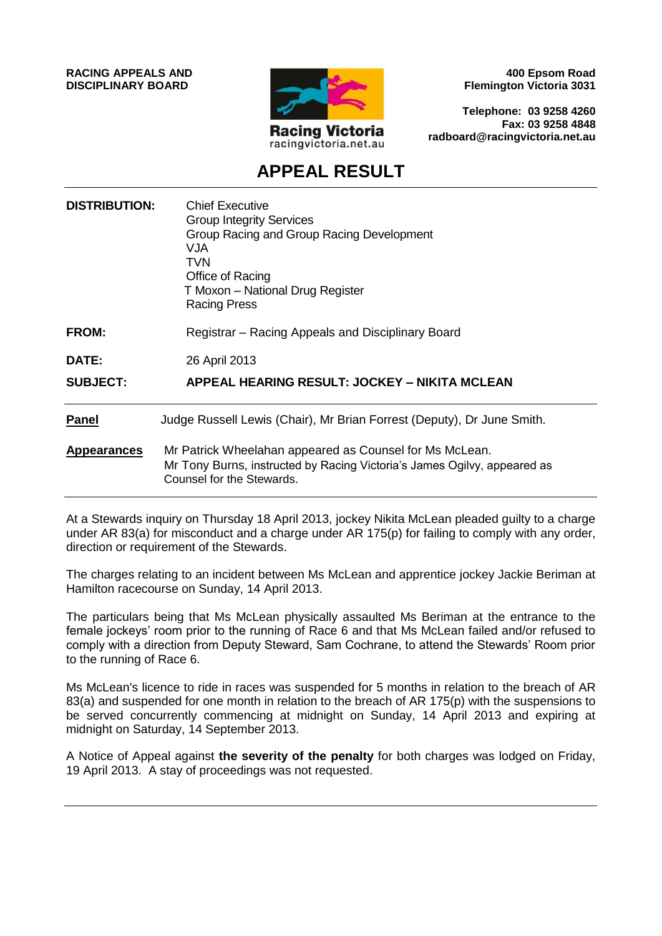**RACING APPEALS AND DISCIPLINARY BOARD**



**400 Epsom Road Flemington Victoria 3031**

**Telephone: 03 9258 4260 Fax: 03 9258 4848 radboard@racingvictoria.net.au**

## **APPEAL RESULT**

| <b>DISTRIBUTION:</b> | <b>Chief Executive</b><br><b>Group Integrity Services</b><br>Group Racing and Group Racing Development<br><b>VJA</b><br><b>TVN</b><br>Office of Racing<br>T Moxon - National Drug Register<br><b>Racing Press</b> |
|----------------------|-------------------------------------------------------------------------------------------------------------------------------------------------------------------------------------------------------------------|
| <b>FROM:</b>         | Registrar – Racing Appeals and Disciplinary Board                                                                                                                                                                 |
| <b>DATE:</b>         | 26 April 2013                                                                                                                                                                                                     |
| <b>SUBJECT:</b>      | APPEAL HEARING RESULT: JOCKEY - NIKITA MCLEAN                                                                                                                                                                     |
| <b>Panel</b>         | Judge Russell Lewis (Chair), Mr Brian Forrest (Deputy), Dr June Smith.                                                                                                                                            |
| <b>Appearances</b>   | Mr Patrick Wheelahan appeared as Counsel for Ms McLean.<br>Mr Tony Burns, instructed by Racing Victoria's James Ogilvy, appeared as<br>Counsel for the Stewards.                                                  |

At a Stewards inquiry on Thursday 18 April 2013, jockey Nikita McLean pleaded guilty to a charge under AR 83(a) for misconduct and a charge under AR 175(p) for failing to comply with any order, direction or requirement of the Stewards.

The charges relating to an incident between Ms McLean and apprentice jockey Jackie Beriman at Hamilton racecourse on Sunday, 14 April 2013.

The particulars being that Ms McLean physically assaulted Ms Beriman at the entrance to the female jockeys' room prior to the running of Race 6 and that Ms McLean failed and/or refused to comply with a direction from Deputy Steward, Sam Cochrane, to attend the Stewards' Room prior to the running of Race 6.

Ms McLean's licence to ride in races was suspended for 5 months in relation to the breach of AR 83(a) and suspended for one month in relation to the breach of AR 175(p) with the suspensions to be served concurrently commencing at midnight on Sunday, 14 April 2013 and expiring at midnight on Saturday, 14 September 2013.

A Notice of Appeal against **the severity of the penalty** for both charges was lodged on Friday, 19 April 2013. A stay of proceedings was not requested.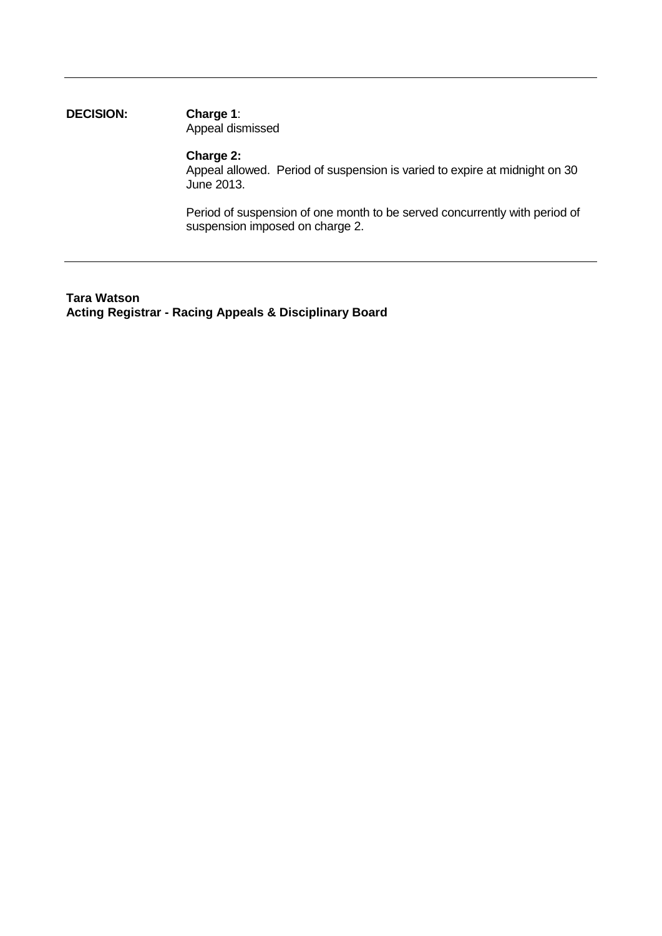### **DECISION: Charge 1**: Appeal dismissed

#### **Charge 2:**

Appeal allowed. Period of suspension is varied to expire at midnight on 30 June 2013.

Period of suspension of one month to be served concurrently with period of suspension imposed on charge 2.

**Tara Watson Acting Registrar - Racing Appeals & Disciplinary Board**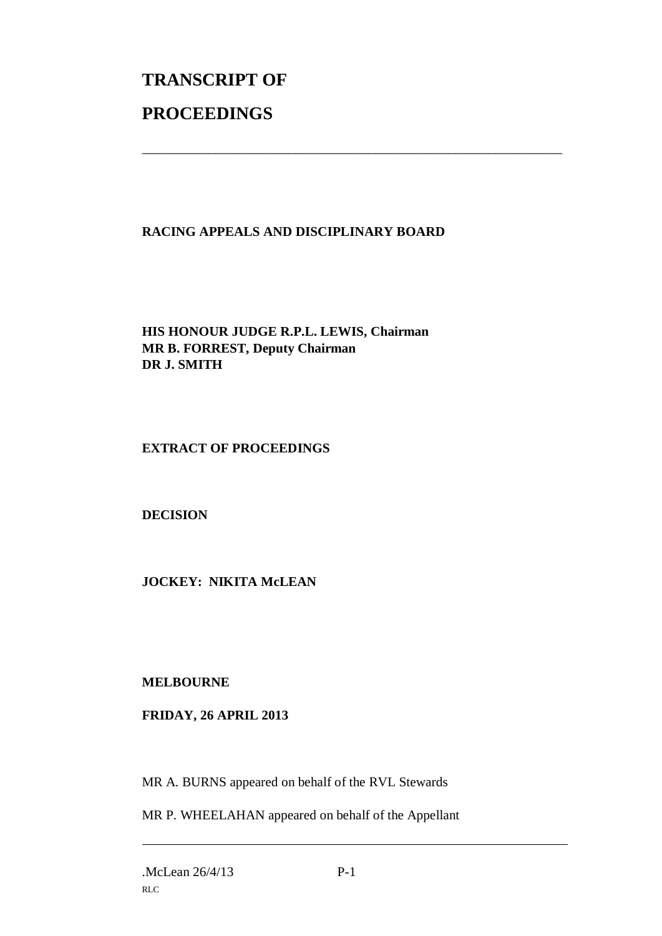# **TRANSCRIPT OF PROCEEDINGS**

## **RACING APPEALS AND DISCIPLINARY BOARD**

\_\_\_\_\_\_\_\_\_\_\_\_\_\_\_\_\_\_\_\_\_\_\_\_\_\_\_\_\_\_\_\_\_\_\_\_\_\_\_\_\_\_\_\_\_\_\_\_\_\_\_\_\_\_\_\_\_\_\_\_\_\_\_

**HIS HONOUR JUDGE R.P.L. LEWIS, Chairman MR B. FORREST, Deputy Chairman DR J. SMITH**

### **EXTRACT OF PROCEEDINGS**

**DECISION**

**JOCKEY: NIKITA McLEAN**

**MELBOURNE**

## **FRIDAY, 26 APRIL 2013**

MR A. BURNS appeared on behalf of the RVL Stewards

MR P. WHEELAHAN appeared on behalf of the Appellant